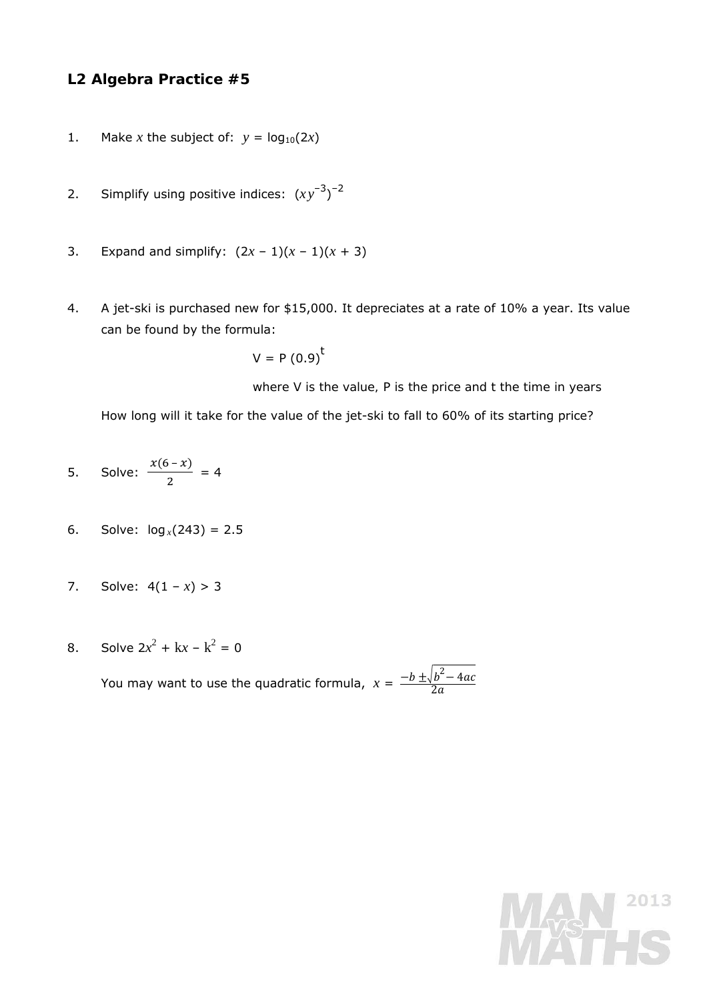## **L2 Algebra Practice #5**

- 1. Make *x* the subject of:  $y = log_{10}(2x)$
- 2. Simplify using positive indices:  $(xy^{-3})^{-2}$
- 3. Expand and simplify:  $(2x 1)(x 1)(x + 3)$
- 4. A jet-ski is purchased new for \$15,000. It depreciates at a rate of 10% a year. Its value can be found by the formula:

$$
V = P(0.9)^t
$$

*where* V *is the value,* P *is the price and* t *the time in years* 

How long will it take for the value of the jet-ski to fall to 60% of its starting price?

- 5. Solve:  $\frac{x(6-x)}{2} = 4$
- 6. Solve:  $log_x(243) = 2.5$
- 7. Solve:  $4(1 x) > 3$
- 8. Solve  $2x^2 + kx k^2 = 0$

You may want to use the quadratic formula,  $x = \frac{-b \pm \sqrt{b^2 - 4ac}}{2a}$